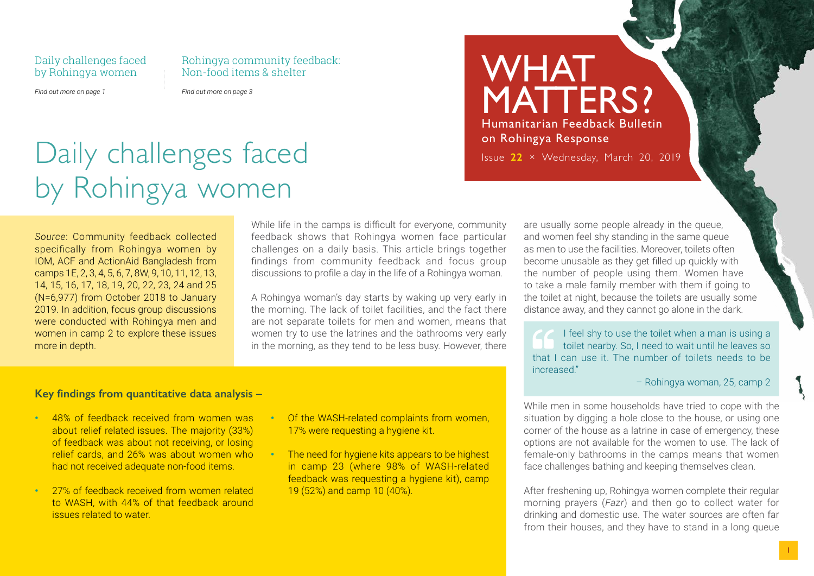### Daily challenges faced by Rohingya women

Rohingya community feedback: Non-food items & shelter

*Find out more on page 1*

*Find out more on page 3*

# Daily challenges faced by Rohingya women

*Source*: Community feedback collected specifically from Rohingya women by IOM, ACF and ActionAid Bangladesh from camps 1E, 2, 3, 4, 5, 6, 7, 8W, 9, 10, 11, 12, 13, 14, 15, 16, 17, 18, 19, 20, 22, 23, 24 and 25 (N=6,977) from October 2018 to January 2019. In addition, focus group discussions were conducted with Rohingya men and women in camp 2 to explore these issues more in depth.

While life in the camps is difficult for everyone, community feedback shows that Rohingya women face particular challenges on a daily basis. This article brings together findings from community feedback and focus group discussions to profile a day in the life of a Rohingya woman.

A Rohingya woman's day starts by waking up very early in the morning. The lack of toilet facilities, and the fact there are not separate toilets for men and women, means that women try to use the latrines and the bathrooms very early in the morning, as they tend to be less busy. However, there

### are usually some people already in the queue, and women feel shy standing in the same queue as men to use the facilities. Moreover, toilets often become unusable as they get filled up quickly with the number of people using them. Women have to take a male family member with them if going to the toilet at night, because the toilets are usually some distance away, and they cannot go alone in the dark.

I feel shy to use the toilet when a man is using a toilet nearby. So, I need to wait until he leaves so that I can use it. The number of toilets needs to be increased."

#### – Rohingya woman, 25, camp 2

While men in some households have tried to cope with the situation by digging a hole close to the house, or using one corner of the house as a latrine in case of emergency, these options are not available for the women to use. The lack of female-only bathrooms in the camps means that women face challenges bathing and keeping themselves clean.

After freshening up, Rohingya women complete their regular morning prayers (*Fazr*) and then go to collect water for drinking and domestic use. The water sources are often far from their houses, and they have to stand in a long queue

### **Key findings from quantitative data analysis –**

- 48% of feedback received from women was about relief related issues. The majority (33%) of feedback was about not receiving, or losing relief cards, and 26% was about women who had not received adequate non-food items.
- 27% of feedback received from women related to WASH, with 44% of that feedback around issues related to water.
- Of the WASH-related complaints from women, 17% were requesting a hygiene kit.
- The need for hygiene kits appears to be highest in camp 23 (where 98% of WASH-related feedback was requesting a hygiene kit), camp 19 (52%) and camp 10 (40%).

## WHAT MATTERS? Humanitarian Feedback Bulletin on Rohingya Response Issue **22** × Wednesday, March 20, 2019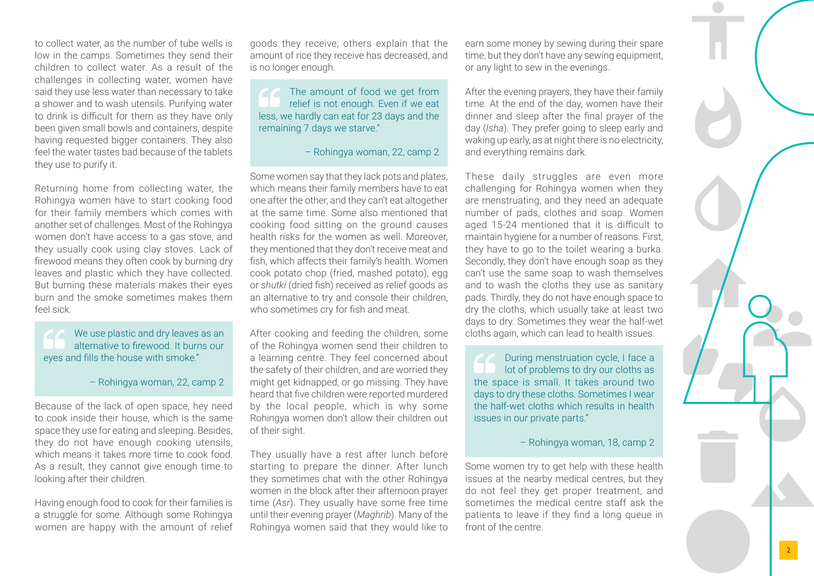to collect water, as the number of tube wells is low in the camps. Sometimes they send their children to collect water. As a result of the challenges in collecting water, women have said they use less water than necessary to take a shower and to wash utensils. Purifying water to drink is difficult for them as they have only been given small bowls and containers, despite having requested bigger containers. They also feel the water tastes bad because of the tablets they use to purify it.

Returning home from collecting water, the Rohingya women have to start cooking food for their family members which comes with another set of challenges. Most of the Rohingya women don't have access to a gas stove, and they usually cook using clay stoves. Lack of firewood means they often cook by burning dry leaves and plastic which they have collected. But burning these materials makes their eyes burn and the smoke sometimes makes them feel sick.

We use plastic and dry leaves as an alternative to firewood. It burns our eyes and fills the house with smoke."

– Rohingya woman, 22, camp 2

Because of the lack of open space, hey need to cook inside their house, which is the same space they use for eating and sleeping. Besides, they do not have enough cooking utensils, which means it takes more time to cook food. As a result, they cannot give enough time to looking after their children.

Having enough food to cook for their families is a struggle for some. Although some Rohingya women are happy with the amount of relief goods they receive; others explain that the amount of rice they receive has decreased, and is no longer enough.

The amount of food we get from relief is not enough. Even if we eat less, we hardly can eat for 23 days and the remaining 7 days we starve."

– Rohingya woman, 22, camp 2

Some women say that they lack pots and plates, which means their family members have to eat one after the other, and they can't eat altogether at the same time. Some also mentioned that cooking food sitting on the ground causes health risks for the women as well. Moreover, they mentioned that they don't receive meat and fish, which affects their family's health. Women cook potato chop (fried, mashed potato), egg or *shutki* (dried fish) received as relief goods as an alternative to try and console their children, who sometimes cry for fish and meat.

After cooking and feeding the children, some of the Rohingya women send their children to a learning centre. They feel concerned about the safety of their children, and are worried they might get kidnapped, or go missing. They have heard that five children were reported murdered by the local people, which is why some Rohingya women don't allow their children out of their sight.

They usually have a rest after lunch before starting to prepare the dinner. After lunch they sometimes chat with the other Rohingya women in the block after their afternoon prayer time (*Asr*). They usually have some free time until their evening prayer (*Maghrib*). Many of the Rohingya women said that they would like to earn some money by sewing during their spare time, but they don't have any sewing equipment, or any light to sew in the evenings.

After the evening prayers, they have their family time. At the end of the day, women have their dinner and sleep after the final prayer of the day (*Isha*). They prefer going to sleep early and waking up early, as at night there is no electricity, and everything remains dark.

These daily struggles are even more challenging for Rohingya women when they are menstruating, and they need an adequate number of pads, clothes and soap. Women aged 15-24 mentioned that it is difficult to maintain hygiene for a number of reasons. First, they have to go to the toilet wearing a burka. Secondly, they don't have enough soap as they can't use the same soap to wash themselves and to wash the cloths they use as sanitary pads. Thirdly, they do not have enough space to dry the cloths, which usually take at least two days to dry. Sometimes they wear the half-wet cloths again, which can lead to health issues.

During menstruation cycle, I face a lot of problems to dry our cloths as the space is small. It takes around two days to dry these cloths. Sometimes I wear the half-wet cloths which results in health issues in our private parts."

– Rohingya woman, 18, camp 2

Some women try to get help with these health issues at the nearby medical centres, but they do not feel they get proper treatment, and sometimes the medical centre staff ask the patients to leave if they find a long queue in front of the centre.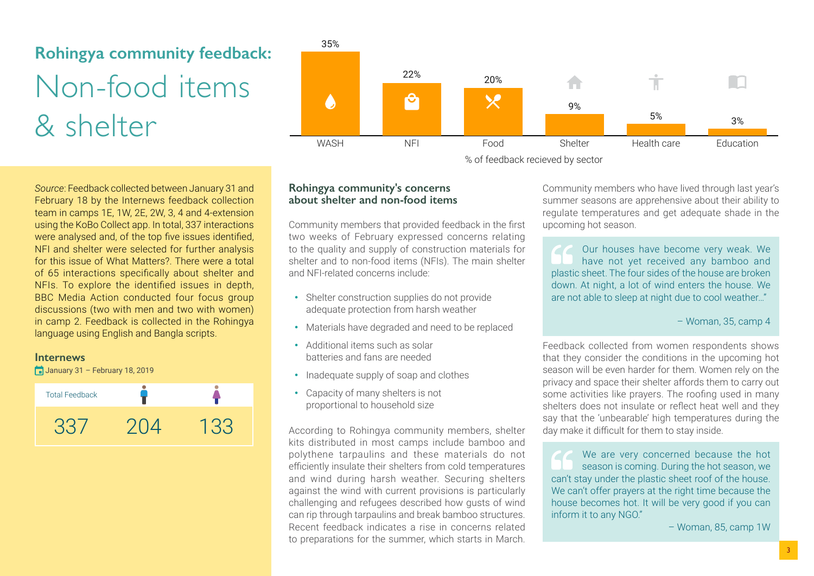# **Rohingya community feedback:** Non-food items & shelter

*Source*: Feedback collected between January 31 and February 18 by the Internews feedback collection team in camps 1E, 1W, 2E, 2W, 3, 4 and 4-extension using the KoBo Collect app. In total, 337 interactions were analysed and, of the top five issues identified, NFI and shelter were selected for further analysis for this issue of What Matters?. There were a total of 65 interactions specifically about shelter and NFIs. To explore the identified issues in depth, BBC Media Action conducted four focus group discussions (two with men and two with women) in camp 2. Feedback is collected in the Rohingya language using English and Bangla scripts.

#### **Internews**

 $\Box$  January 31 – February 18, 2019





% of feedback recieved by sector

### **Rohingya community's concerns about shelter and non-food items**

Community members that provided feedback in the first two weeks of February expressed concerns relating to the quality and supply of construction materials for shelter and to non-food items (NFIs). The main shelter and NFI-related concerns include:

- Shelter construction supplies do not provide adequate protection from harsh weather
- Materials have degraded and need to be replaced
- Additional items such as solar batteries and fans are needed
- Inadequate supply of soap and clothes
- Capacity of many shelters is not proportional to household size

According to Rohingya community members, shelter kits distributed in most camps include bamboo and polythene tarpaulins and these materials do not efficiently insulate their shelters from cold temperatures and wind during harsh weather. Securing shelters against the wind with current provisions is particularly challenging and refugees described how gusts of wind can rip through tarpaulins and break bamboo structures. Recent feedback indicates a rise in concerns related to preparations for the summer, which starts in March.

Community members who have lived through last year's summer seasons are apprehensive about their ability to regulate temperatures and get adequate shade in the upcoming hot season.

Our houses have become very weak. We have not yet received any bamboo and plastic sheet. The four sides of the house are broken down. At night, a lot of wind enters the house. We are not able to sleep at night due to cool weather…"

### – Woman, 35, camp 4

Feedback collected from women respondents shows that they consider the conditions in the upcoming hot season will be even harder for them. Women rely on the privacy and space their shelter affords them to carry out some activities like prayers. The roofing used in many shelters does not insulate or reflect heat well and they say that the 'unbearable' high temperatures during the day make it difficult for them to stay inside.

We are very concerned because the hot season is coming. During the hot season, we can't stay under the plastic sheet roof of the house. We can't offer prayers at the right time because the house becomes hot. It will be very good if you can inform it to any NGO."

– Woman, 85, camp 1W